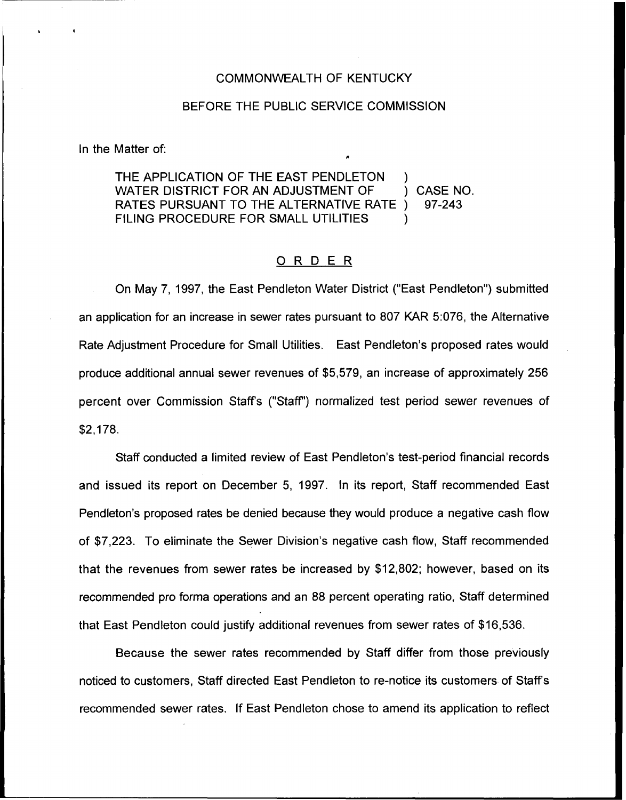### COMMONWEALTH OF KENTUCKY

## BEFORE THE PUBLIC SERVICE COMMISSION

In the Matter of:

THE APPLICATION OF THE EAST PENDLETON WATER DISTRICT FOR AN ADJUSTMENT OF  $\qquad$  ) CASE NO.<br>RATES PURSUANT TO THE ALTERNATIVE RATE ) 97-243 RATES PURSUANT TO THE ALTERNATIVE RATE ) FILING PROCEDURE FOR SMALL UTILITIES

# ORDER

On May 7, 1997, the East Pendleton Water District ("East Pendleton") submitte an application for an increase in sewer rates pursuant to 807 KAR 5:076, the Alternative Rate Adjustment Procedure for Small Utilities, East Pendleton's proposed rates would produce additional annual sewer revenues of \$5,579, an increase of approximately 256 percent over Commission Staffs ("Staff") normalized test period sewer revenues of \$2,178.

Staff conducted a limited review of East Pendleton's test-period financial records and issued its report on December 5, 1997. In its report, Staff recommended East Pendleton's proposed rates be denied because they would produce a negative cash flow of \$7,223. To eliminate the Sewer Division's negative cash flow, Staff recommended that the revenues from sewer rates be increased by \$12,802; however, based on its recommended pro forma operations and an 88 percent operating ratio, Staff determined that East Pendleton could justify additional revenues from sewer rates of \$16,536.

Because the sewer rates recommended by Staff differ from those previously noticed to customers, Staff directed East Pendleton to re-notice its customers of Staff's recommended sewer rates. If East Pendleton chose to amend its application to reflect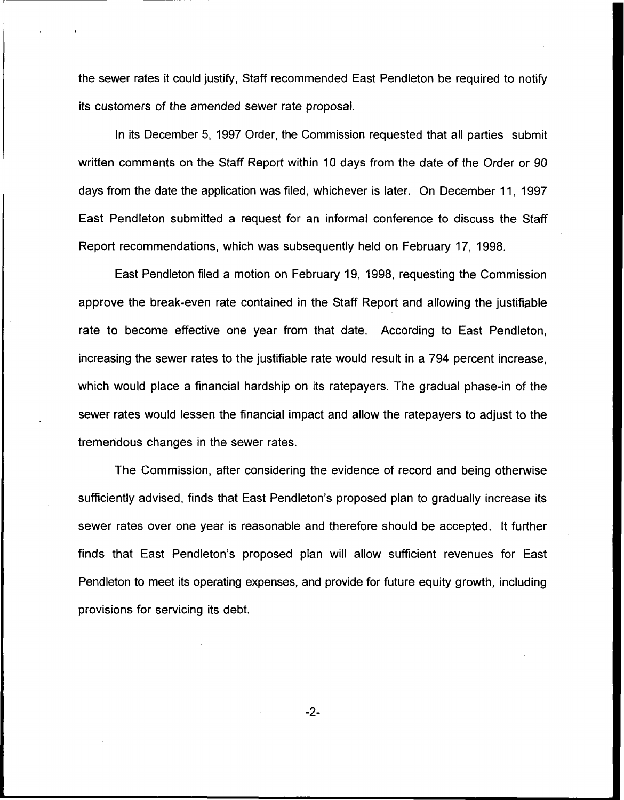the sewer rates it could justify, Staff recommended East Pendleton be required to notify its customers of the amended sewer rate proposal.

In its December 5, 1997 Order, the Commission requested that all parties submit written comments on the Staff Report within 10 days from the date of the Order or 90 days from the date the application was filed, whichever is later. On December 11, 1997 East Pendleton submitted a request for an informal conference to discuss the Staff Report recommendations, which was subsequently held on February 17, 1998.

East Pendleton filed a motion on February 19, 1998, requesting the Commission approve the break-even rate contained in the Staff Report and allowing the justifiable rate to become effective one year from that date. According to East Pendleton, increasing the sewer rates to the justifiable rate would result in a 794 percent increase, which would place a financial hardship on its ratepayers. The gradual phase-in of the sewer rates would lessen the financial impact and allow the ratepayers to adjust to the tremendous changes in the sewer rates.

The Commission, after considering the evidence of record and being otherwise sufficiently advised, finds that East Pendleton's proposed plan to gradually increase its sewer rates over one year is reasonable and therefore should be accepted. It further finds that East Pendleton's proposed plan will allow sufficient revenues for East Pendleton to meet its operating expenses, and provide for future equity growth, including provisions for servicing its debt.

 $-2-$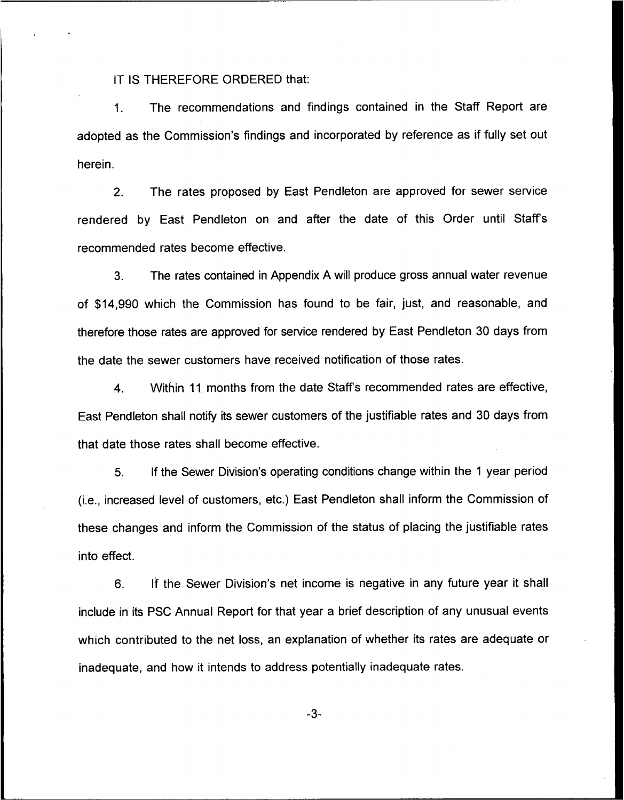IT IS THEREFORE ORDERED that:

1. The recommendations and findings contained in the Staff Report are adopted as the Commission's findings and incorporated by reference as if fully set out herein.

2. The rates proposed by East Pendleton are approved for sewer service rendered by East Pendleton on and after the date of this Order until Staffs recommended rates become effective.

3. The rates contained in Appendix A will produce gross annual water revenue of \$14,990 which the Commission has found to be fair, just, and reasonable, and therefore those rates are approved for service rendered by East Pendleton 30 days from the date the sewer customers have received notification of those rates.

4. Within 11 months from the date Staffs recommended rates are effective, East Pendleton shall notify its sewer customers of the justifiable rates and 30 days from that date those rates shall become effective.

5. If the Sewer Division's operating conditions change within the <sup>1</sup> year period (i.e., increased level of customers, etc.) East Pendleton shall inform the Commission of these changes and inform the Commission of the status of placing the justifiable rates into effect.

6. If the Sewer Division's net income is negative in any future year it shall include in its PSC Annual Report for that year a brief description of any unusual events which contributed to the net loss, an explanation of whether its rates are adequate or inadequate, and how it intends to address potentially inadequate rates.

-3-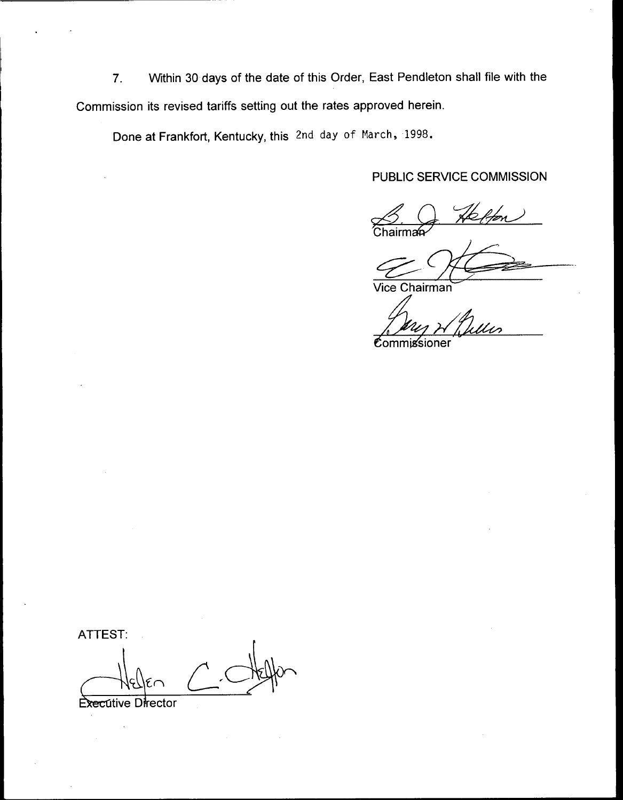7. Within 30 days of the date of this Order, East Pendleton shall file with the Commission its revised tariffs setting out the rates approved herein.

Done at Frankfort, Kentucky, this 2nd day of March, 1998.

# PUBLIC SERVICE COMMISSION

Chairmai

Vice Chairman

 $\mathfrak e$ ommi $\operatorname{s}$ sioner

ATTEST:

Executive Director